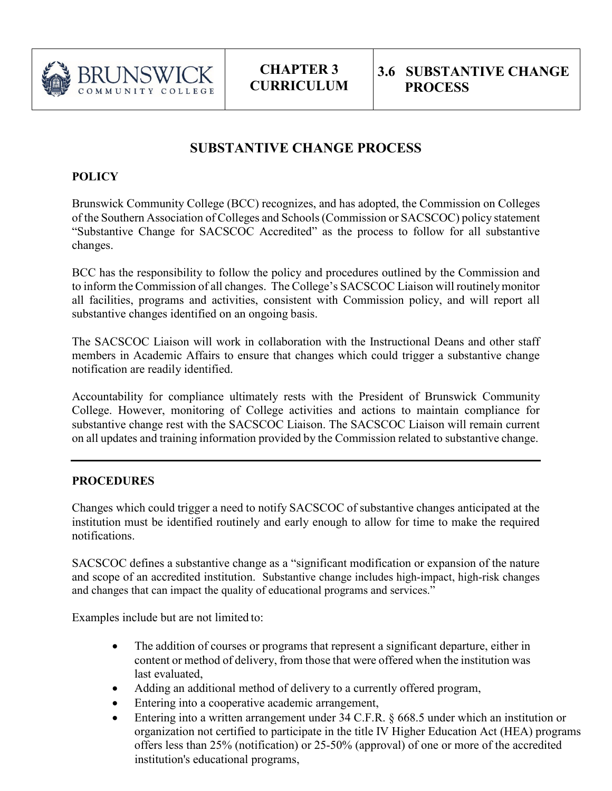

**CHAPTER 3 CURRICULUM**

## **SUBSTANTIVE CHANGE PROCESS**

## **POLICY**

Brunswick Community College (BCC) recognizes, and has adopted, the Commission on Colleges of the Southern Association of Colleges and Schools (Commission or SACSCOC) policy statement "Substantive Change for SACSCOC Accredited" as the process to follow for all substantive changes.

BCC has the responsibility to follow the policy and procedures outlined by the Commission and to inform the Commission of all changes. The College's SACSCOC Liaison will routinelymonitor all facilities, programs and activities, consistent with Commission policy, and will report all substantive changes identified on an ongoing basis.

The SACSCOC Liaison will work in collaboration with the Instructional Deans and other staff members in Academic Affairs to ensure that changes which could trigger a substantive change notification are readily identified.

Accountability for compliance ultimately rests with the President of Brunswick Community College. However, monitoring of College activities and actions to maintain compliance for substantive change rest with the SACSCOC Liaison. The SACSCOC Liaison will remain current on all updates and training information provided by the Commission related to substantive change.

## **PROCEDURES**

Changes which could trigger a need to notify SACSCOC of substantive changes anticipated at the institution must be identified routinely and early enough to allow for time to make the required notifications.

SACSCOC defines a substantive change as a "significant modification or expansion of the nature and scope of an accredited institution. Substantive change includes high-impact, high-risk changes and changes that can impact the quality of educational programs and services."

Examples include but are not limited to:

- The addition of courses or programs that represent a significant departure, either in content or method of delivery, from those that were offered when the institution was last evaluated,
- Adding an additional method of delivery to a currently offered program,
- Entering into a cooperative academic arrangement,
- Entering into a written arrangement under 34 C.F.R. § 668.5 under which an institution or organization not certified to participate in the title IV Higher Education Act (HEA) programs offers less than 25% (notification) or 25-50% (approval) of one or more of the accredited institution's educational programs,